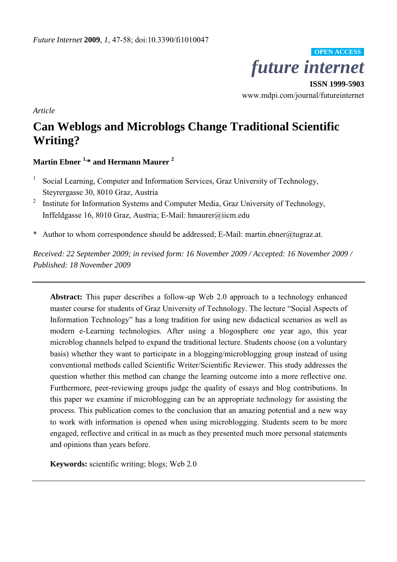

**ISSN 1999-5903**  www.mdpi.com/journal/futureinternet

*Article* 

# **Can Weblogs and Microblogs Change Traditional Scientific Writing?**

**Martin Ebner 1,\* and Hermann Maurer <sup>2</sup>**

- 1 Social Learning, Computer and Information Services, Graz University of Technology, Steyrergasse 30, 8010 Graz, Austria
- 2 Institute for Information Systems and Computer Media, Graz University of Technology, Inffeldgasse 16, 8010 Graz, Austria; E-Mail: hmaurer@iicm.edu
- \* Author to whom correspondence should be addressed; E-Mail: martin.ebner@tugraz.at.

*Received: 22 September 2009; in revised form: 16 November 2009 / Accepted: 16 November 2009 / Published: 18 November 2009* 

**Abstract:** This paper describes a follow-up Web 2.0 approach to a technology enhanced master course for students of Graz University of Technology. The lecture "Social Aspects of Information Technology" has a long tradition for using new didactical scenarios as well as modern e-Learning technologies. After using a blogosphere one year ago, this year microblog channels helped to expand the traditional lecture. Students choose (on a voluntary basis) whether they want to participate in a blogging/microblogging group instead of using conventional methods called Scientific Writer/Scientific Reviewer. This study addresses the question whether this method can change the learning outcome into a more reflective one. Furthermore, peer-reviewing groups judge the quality of essays and blog contributions. In this paper we examine if microblogging can be an appropriate technology for assisting the process. This publication comes to the conclusion that an amazing potential and a new way to work with information is opened when using microblogging. Students seem to be more engaged, reflective and critical in as much as they presented much more personal statements and opinions than years before.

**Keywords:** scientific writing; blogs; Web 2.0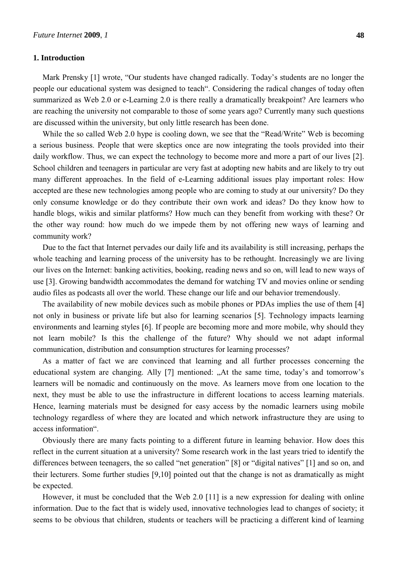# **1. Introduction**

Mark Prensky [1] wrote, "Our students have changed radically. Today's students are no longer the people our educational system was designed to teach". Considering the radical changes of today often summarized as Web 2.0 or e-Learning 2.0 is there really a dramatically breakpoint? Are learners who are reaching the university not comparable to those of some years ago? Currently many such questions are discussed within the university, but only little research has been done.

While the so called Web 2.0 hype is cooling down, we see that the "Read/Write" Web is becoming a serious business. People that were skeptics once are now integrating the tools provided into their daily workflow. Thus, we can expect the technology to become more and more a part of our lives [2]. School children and teenagers in particular are very fast at adopting new habits and are likely to try out many different approaches. In the field of e-Learning additional issues play important roles: How accepted are these new technologies among people who are coming to study at our university? Do they only consume knowledge or do they contribute their own work and ideas? Do they know how to handle blogs, wikis and similar platforms? How much can they benefit from working with these? Or the other way round: how much do we impede them by not offering new ways of learning and community work?

Due to the fact that Internet pervades our daily life and its availability is still increasing, perhaps the whole teaching and learning process of the university has to be rethought. Increasingly we are living our lives on the Internet: banking activities, booking, reading news and so on, will lead to new ways of use [3]. Growing bandwidth accommodates the demand for watching TV and movies online or sending audio files as podcasts all over the world. These change our life and our behavior tremendously.

The availability of new mobile devices such as mobile phones or PDAs implies the use of them [4] not only in business or private life but also for learning scenarios [5]. Technology impacts learning environments and learning styles [6]. If people are becoming more and more mobile, why should they not learn mobile? Is this the challenge of the future? Why should we not adapt informal communication, distribution and consumption structures for learning processes?

As a matter of fact we are convinced that learning and all further processes concerning the educational system are changing. Ally [7] mentioned: "At the same time, today's and tomorrow's learners will be nomadic and continuously on the move. As learners move from one location to the next, they must be able to use the infrastructure in different locations to access learning materials. Hence, learning materials must be designed for easy access by the nomadic learners using mobile technology regardless of where they are located and which network infrastructure they are using to access information".

Obviously there are many facts pointing to a different future in learning behavior. How does this reflect in the current situation at a university? Some research work in the last years tried to identify the differences between teenagers, the so called "net generation" [8] or "digital natives" [1] and so on, and their lecturers. Some further studies [9,10] pointed out that the change is not as dramatically as might be expected.

However, it must be concluded that the Web 2.0 [11] is a new expression for dealing with online information. Due to the fact that is widely used, innovative technologies lead to changes of society; it seems to be obvious that children, students or teachers will be practicing a different kind of learning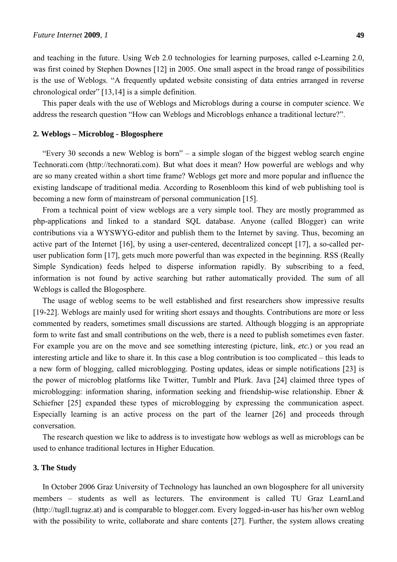and teaching in the future. Using Web 2.0 technologies for learning purposes, called e-Learning 2.0, was first coined by Stephen Downes [12] in 2005. One small aspect in the broad range of possibilities is the use of Weblogs. "A frequently updated website consisting of data entries arranged in reverse chronological order" [13,14] is a simple definition.

This paper deals with the use of Weblogs and Microblogs during a course in computer science. We address the research question "How can Weblogs and Microblogs enhance a traditional lecture?".

# **2. Weblogs – Microblog - Blogosphere**

"Every 30 seconds a new Weblog is born" – a simple slogan of the biggest weblog search engine Technorati.com (http://technorati.com). But what does it mean? How powerful are weblogs and why are so many created within a short time frame? Weblogs get more and more popular and influence the existing landscape of traditional media. According to Rosenbloom this kind of web publishing tool is becoming a new form of mainstream of personal communication [15].

From a technical point of view weblogs are a very simple tool. They are mostly programmed as php-applications and linked to a standard SQL database. Anyone (called Blogger) can write contributions via a WYSWYG-editor and publish them to the Internet by saving. Thus, becoming an active part of the Internet [16], by using a user-centered, decentralized concept [17], a so-called peruser publication form [17], gets much more powerful than was expected in the beginning. RSS (Really Simple Syndication) feeds helped to disperse information rapidly. By subscribing to a feed, information is not found by active searching but rather automatically provided. The sum of all Weblogs is called the Blogosphere.

The usage of weblog seems to be well established and first researchers show impressive results [19-22]. Weblogs are mainly used for writing short essays and thoughts. Contributions are more or less commented by readers, sometimes small discussions are started. Although blogging is an appropriate form to write fast and small contributions on the web, there is a need to publish sometimes even faster. For example you are on the move and see something interesting (picture, link, *etc.*) or you read an interesting article and like to share it. In this case a blog contribution is too complicated – this leads to a new form of blogging, called microblogging. Posting updates, ideas or simple notifications [23] is the power of microblog platforms like Twitter, Tumblr and Plurk. Java [24] claimed three types of microblogging: information sharing, information seeking and friendship-wise relationship. Ebner & Schiefner [25] expanded these types of microblogging by expressing the communication aspect. Especially learning is an active process on the part of the learner [26] and proceeds through conversation.

The research question we like to address is to investigate how weblogs as well as microblogs can be used to enhance traditional lectures in Higher Education.

# **3. The Study**

In October 2006 Graz University of Technology has launched an own blogosphere for all university members – students as well as lecturers. The environment is called TU Graz LearnLand (http://tugll.tugraz.at) and is comparable to blogger.com. Every logged-in-user has his/her own weblog with the possibility to write, collaborate and share contents [27]. Further, the system allows creating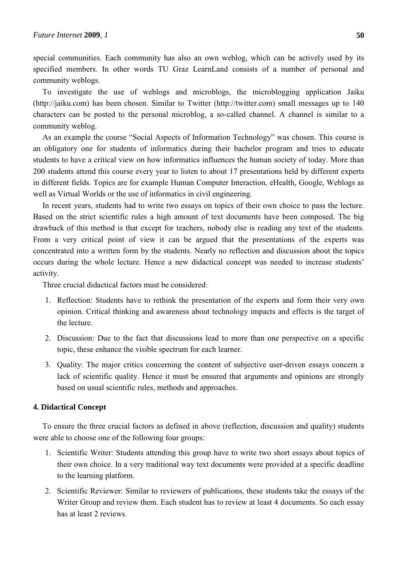special communities. Each community has also an own weblog, which can be actively used by its specified members. In other words TU Graz LearnLand consists of a number of personal and community weblogs.

To investigate the use of weblogs and microblogs, the microblogging application Jaiku (http://jaiku.com) has been chosen. Similar to Twitter (http://twitter.com) small messages up to 140 characters can be posted to the personal microblog, a so-called channel. A channel is similar to a community weblog.

As an example the course "Social Aspects of Information Technology" was chosen. This course is an obligatory one for students of informatics during their bachelor program and tries to educate students to have a critical view on how informatics influences the human society of today. More than 200 students attend this course every year to listen to about 17 presentations held by different experts in different fields. Topics are for example Human Computer Interaction, eHealth, Google, Weblogs as well as Virtual Worlds or the use of informatics in civil engineering.

In recent years, students had to write two essays on topics of their own choice to pass the lecture. Based on the strict scientific rules a high amount of text documents have been composed. The big drawback of this method is that except for teachers, nobody else is reading any text of the students. From a very critical point of view it can be argued that the presentations of the experts was concentrated into a written form by the students. Nearly no reflection and discussion about the topics occurs during the whole lecture. Hence a new didactical concept was needed to increase students' activity.

Three crucial didactical factors must be considered:

- 1. Reflection: Students have to rethink the presentation of the experts and form their very own opinion. Critical thinking and awareness about technology impacts and effects is the target of the lecture.
- 2. Discussion: Due to the fact that discussions lead to more than one perspective on a specific topic, these enhance the visible spectrum for each learner.
- 3. Quality: The major critics concerning the content of subjective user-driven essays concern a lack of scientific quality. Hence it must be ensured that arguments and opinions are strongly based on usual scientific rules, methods and approaches.

#### **4. Didactical Concept**

To ensure the three crucial factors as defined in above (reflection, discussion and quality) students were able to choose one of the following four groups:

- 1. Scientific Writer: Students attending this group have to write two short essays about topics of their own choice. In a very traditional way text documents were provided at a specific deadline to the learning platform.
- 2. Scientific Reviewer: Similar to reviewers of publications, these students take the essays of the Writer Group and review them. Each student has to review at least 4 documents. So each essay has at least 2 reviews.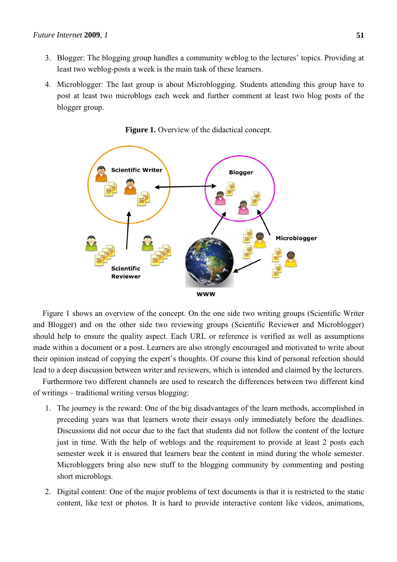- 3. Blogger: The blogging group handles a community weblog to the lectures' topics. Providing at least two weblog-posts a week is the main task of these learners.
- 4. Microblogger: The last group is about Microblogging. Students attending this group have to post at least two microblogs each week and further comment at least two blog posts of the blogger group.



Figure 1. Overview of the didactical concept.

Figure 1 shows an overview of the concept. On the one side two writing groups (Scientific Writer and Blogger) and on the other side two reviewing groups (Scientific Reviewer and Microblogger) should help to ensure the quality aspect. Each URL or reference is verified as well as assumptions made within a document or a post. Learners are also strongly encouraged and motivated to write about their opinion instead of copying the expert's thoughts. Of course this kind of personal refection should lead to a deep discussion between writer and reviewers, which is intended and claimed by the lecturers.

Furthermore two different channels are used to research the differences between two different kind of writings – traditional writing versus blogging:

- 1. The journey is the reward: One of the big disadvantages of the learn methods, accomplished in preceding years was that learners wrote their essays only immediately before the deadlines. Discussions did not occur due to the fact that students did not follow the content of the lecture just in time. With the help of weblogs and the requirement to provide at least 2 posts each semester week it is ensured that learners bear the content in mind during the whole semester. Microbloggers bring also new stuff to the blogging community by commenting and posting short microblogs.
- 2. Digital content: One of the major problems of text documents is that it is restricted to the static content, like text or photos. It is hard to provide interactive content like videos, animations,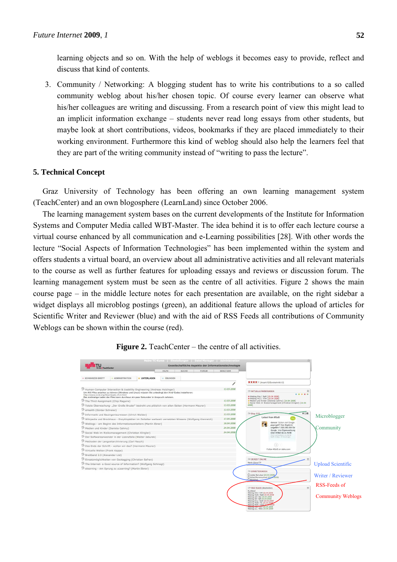learning objects and so on. With the help of weblogs it becomes easy to provide, reflect and discuss that kind of contents.

3. Community / Networking: A blogging student has to write his contributions to a so called community weblog about his/her chosen topic. Of course every learner can observe what his/her colleagues are writing and discussing. From a research point of view this might lead to an implicit information exchange – students never read long essays from other students, but maybe look at short contributions, videos, bookmarks if they are placed immediately to their working environment. Furthermore this kind of weblog should also help the learners feel that they are part of the writing community instead of "writing to pass the lecture".

# **5. Technical Concept**

Graz University of Technology has been offering an own learning management system (TeachCenter) and an own blogosphere (LearnLand) since October 2006.

The learning management system bases on the current developments of the Institute for Information Systems and Computer Media called WBT-Master. The idea behind it is to offer each lecture course a virtual course enhanced by all communication and e-Learning possibilities [28]. With other words the lecture "Social Aspects of Information Technologies" has been implemented within the system and offers students a virtual board, an overview about all administrative activities and all relevant materials to the course as well as further features for uploading essays and reviews or discussion forum. The learning management system must be seen as the centre of all activities. Figure 2 shows the main course page – in the middle lecture notes for each presentation are available, on the right sidebar a widget displays all microblog postings (green), an additional feature allows the upload of articles for Scientific Writer and Reviewer (blue) and with the aid of RSS Feeds all contributions of Community Weblogs can be shown within the course (red).



#### **Figure 2.** TeachCenter – the centre of all activities.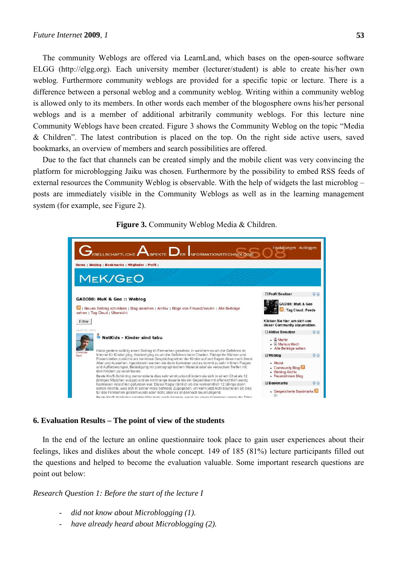The community Weblogs are offered via LearnLand, which bases on the open-source software ELGG (http://elgg.org). Each university member (lecturer/student) is able to create his/her own weblog. Furthermore community weblogs are provided for a specific topic or lecture. There is a difference between a personal weblog and a community weblog. Writing within a community weblog is allowed only to its members. In other words each member of the blogosphere owns his/her personal weblogs and is a member of additional arbitrarily community weblogs. For this lecture nine Community Weblogs have been created. Figure 3 shows the Community Weblog on the topic "Media & Children". The latest contribution is placed on the top. On the right side active users, saved bookmarks, an overview of members and search possibilities are offered.

Due to the fact that channels can be created simply and the mobile client was very convincing the platform for microblogging Jaiku was chosen. Furthermore by the possibility to embed RSS feeds of external resources the Community Weblog is observable. With the help of widgets the last microblog – posts are immediately visible in the Community Weblogs as well as in the learning management system (for example, see Figure 2).



**Figure 3.** Community Weblog Media & Children.

#### **6. Evaluation Results – The point of view of the students**

In the end of the lecture an online questionnaire took place to gain user experiences about their feelings, likes and dislikes about the whole concept. 149 of 185 (81%) lecture participants filled out the questions and helped to become the evaluation valuable. Some important research questions are point out below:

*Research Question 1: Before the start of the lecture I* 

- *did not know about Microblogging (1).*
- have already heard about Microblogging (2).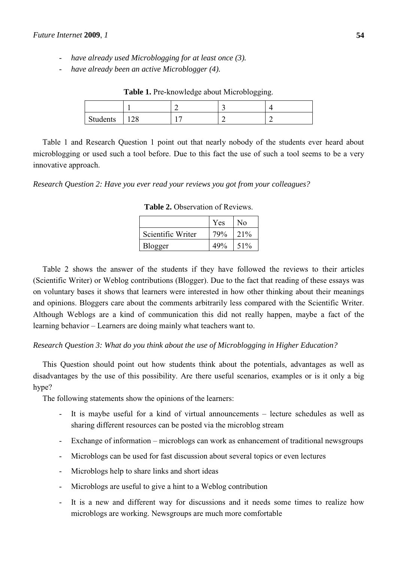- *have already used Microblogging for at least once (3).*
- *have already been an active Microblogger (4).*

|          |     | - |  |
|----------|-----|---|--|
| Students | 1∠0 |   |  |

**Table 1.** Pre-knowledge about Microblogging.

Table 1 and Research Question 1 point out that nearly nobody of the students ever heard about microblogging or used such a tool before. Due to this fact the use of such a tool seems to be a very innovative approach.

*Research Question 2: Have you ever read your reviews you got from your colleagues?* 

|                   | Yes | No  |
|-------------------|-----|-----|
| Scientific Writer | 79% | 21% |
| Blogger           | 40% | 51% |

**Table 2.** Observation of Reviews.

Table 2 shows the answer of the students if they have followed the reviews to their articles (Scientific Writer) or Weblog contributions (Blogger). Due to the fact that reading of these essays was on voluntary bases it shows that learners were interested in how other thinking about their meanings and opinions. Bloggers care about the comments arbitrarily less compared with the Scientific Writer. Although Weblogs are a kind of communication this did not really happen, maybe a fact of the learning behavior – Learners are doing mainly what teachers want to.

*Research Question 3: What do you think about the use of Microblogging in Higher Education?* 

This Question should point out how students think about the potentials, advantages as well as disadvantages by the use of this possibility. Are there useful scenarios, examples or is it only a big hype?

The following statements show the opinions of the learners:

- It is maybe useful for a kind of virtual announcements lecture schedules as well as sharing different resources can be posted via the microblog stream
- Exchange of information microblogs can work as enhancement of traditional newsgroups
- Microblogs can be used for fast discussion about several topics or even lectures
- Microblogs help to share links and short ideas
- Microblogs are useful to give a hint to a Weblog contribution
- It is a new and different way for discussions and it needs some times to realize how microblogs are working. Newsgroups are much more comfortable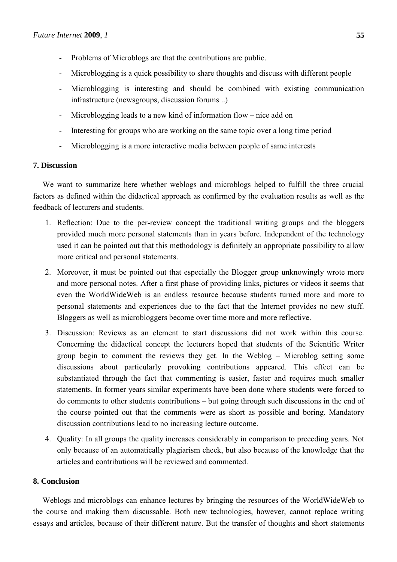- Problems of Microblogs are that the contributions are public.
- Microblogging is a quick possibility to share thoughts and discuss with different people
- Microblogging is interesting and should be combined with existing communication infrastructure (newsgroups, discussion forums ..)
- Microblogging leads to a new kind of information flow nice add on
- Interesting for groups who are working on the same topic over a long time period
- Microblogging is a more interactive media between people of same interests

# **7. Discussion**

We want to summarize here whether weblogs and microblogs helped to fulfill the three crucial factors as defined within the didactical approach as confirmed by the evaluation results as well as the feedback of lecturers and students.

- 1. Reflection: Due to the per-review concept the traditional writing groups and the bloggers provided much more personal statements than in years before. Independent of the technology used it can be pointed out that this methodology is definitely an appropriate possibility to allow more critical and personal statements.
- 2. Moreover, it must be pointed out that especially the Blogger group unknowingly wrote more and more personal notes. After a first phase of providing links, pictures or videos it seems that even the WorldWideWeb is an endless resource because students turned more and more to personal statements and experiences due to the fact that the Internet provides no new stuff. Bloggers as well as microbloggers become over time more and more reflective.
- 3. Discussion: Reviews as an element to start discussions did not work within this course. Concerning the didactical concept the lecturers hoped that students of the Scientific Writer group begin to comment the reviews they get. In the Weblog – Microblog setting some discussions about particularly provoking contributions appeared. This effect can be substantiated through the fact that commenting is easier, faster and requires much smaller statements. In former years similar experiments have been done where students were forced to do comments to other students contributions – but going through such discussions in the end of the course pointed out that the comments were as short as possible and boring. Mandatory discussion contributions lead to no increasing lecture outcome.
- 4. Quality: In all groups the quality increases considerably in comparison to preceding years. Not only because of an automatically plagiarism check, but also because of the knowledge that the articles and contributions will be reviewed and commented.

# **8. Conclusion**

Weblogs and microblogs can enhance lectures by bringing the resources of the WorldWideWeb to the course and making them discussable. Both new technologies, however, cannot replace writing essays and articles, because of their different nature. But the transfer of thoughts and short statements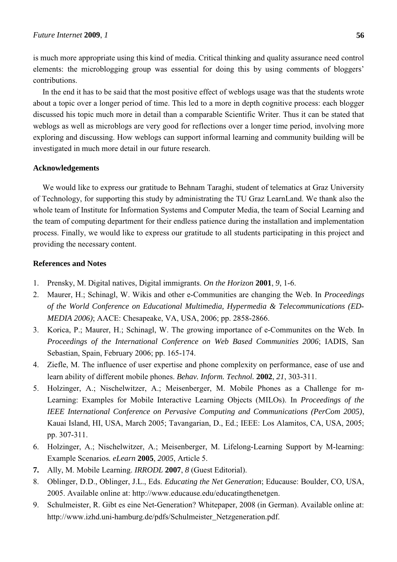is much more appropriate using this kind of media. Critical thinking and quality assurance need control elements: the microblogging group was essential for doing this by using comments of bloggers' contributions.

In the end it has to be said that the most positive effect of weblogs usage was that the students wrote about a topic over a longer period of time. This led to a more in depth cognitive process: each blogger discussed his topic much more in detail than a comparable Scientific Writer. Thus it can be stated that weblogs as well as microblogs are very good for reflections over a longer time period, involving more exploring and discussing. How weblogs can support informal learning and community building will be investigated in much more detail in our future research.

## **Acknowledgements**

We would like to express our gratitude to Behnam Taraghi, student of telematics at Graz University of Technology, for supporting this study by administrating the TU Graz LearnLand. We thank also the whole team of Institute for Information Systems and Computer Media, the team of Social Learning and the team of computing department for their endless patience during the installation and implementation process. Finally, we would like to express our gratitude to all students participating in this project and providing the necessary content.

## **References and Notes**

- 1. Prensky, M. Digital natives, Digital immigrants. *On the Horizon* **2001**, *9*, 1-6.
- 2. Maurer, H.; Schinagl, W. Wikis and other e-Communities are changing the Web. In *Proceedings of the World Conference on Educational Multimedia, Hypermedia & Telecommunications (ED-MEDIA 2006)*; AACE: Chesapeake, VA, USA, 2006; pp. 2858-2866.
- 3. Korica, P.; Maurer, H.; Schinagl, W. The growing importance of e-Communites on the Web. In *Proceedings of the International Conference on Web Based Communities 2006*; IADIS, San Sebastian, Spain, February 2006; pp. 165-174.
- 4. Ziefle, M. The influence of user expertise and phone complexity on performance, ease of use and learn ability of different mobile phones. *Behav. Inform. Technol.* **2002**, *21*, 303-311.
- 5. Holzinger, A.; Nischelwitzer, A.; Meisenberger, M. Mobile Phones as a Challenge for m-Learning: Examples for Mobile Interactive Learning Objects (MILOs). In *Proceedings of the IEEE International Conference on Pervasive Computing and Communications (PerCom 2005)*, Kauai Island, HI, USA, March 2005; Tavangarian, D., Ed.; IEEE: Los Alamitos, CA, USA, 2005; pp. 307-311.
- 6. Holzinger, A.; Nischelwitzer, A.; Meisenberger, M. Lifelong-Learning Support by M-learning: Example Scenarios*. eLearn* **2005**, *2005*, Article 5.
- **7.** Ally, M. Mobile Learning. *IRRODL* **2007**, *8* (Guest Editorial).
- 8. Oblinger, D.D., Oblinger, J.L., Eds. *Educating the Net Generation*; Educause: Boulder, CO, USA, 2005. Available online at: http://www.educause.edu/educatingthenetgen.
- 9. Schulmeister, R. Gibt es eine Net-Generation? Whitepaper, 2008 (in German). Available online at: http://www.izhd.uni-hamburg.de/pdfs/Schulmeister\_Netzgeneration.pdf.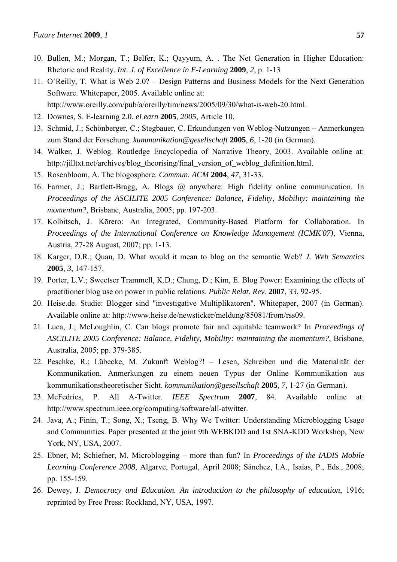- 10. Bullen, M.; Morgan, T.; Belfer, K.; Qayyum, A. . The Net Generation in Higher Education: Rhetoric and Reality. *Int. J. of Excellence in E-Learning* **2009**, *2*, p. 1-13
- 11. O'Reilly, T. What is Web 2.0? Design Patterns and Business Models for the Next Generation Software. Whitepaper, 2005. Available online at:
	- http://www.oreilly.com/pub/a/oreilly/tim/news/2005/09/30/what-is-web-20.html.
- 12. Downes, S. E-learning 2.0. *eLearn* **2005**, *2005*, Article 10.
- 13. Schmid, J.; Schönberger, C.; Stegbauer, C. Erkundungen von Weblog-Nutzungen Anmerkungen zum Stand der Forschung. *kummunikation@gesellschaft* **2005**, *6*, 1-20 (in German).
- 14. Walker, J. Weblog. Routledge Encyclopedia of Narrative Theory, 2003. Available online at: http://jilltxt.net/archives/blog\_theorising/final\_version\_of\_weblog\_definition.html.
- 15. Rosenbloom, A. The blogosphere. *Commun. ACM* **2004**, *47*, 31-33.
- 16. Farmer, J.; Bartlett-Bragg, A. Blogs @ anywhere: High fidelity online communication. In *Proceedings of the ASCILITE 2005 Conference: Balance, Fidelity, Mobility: maintaining the momentum?*, Brisbane, Australia, 2005; pp. 197-203.
- 17. Kolbitsch, J. Kōrero: An Integrated, Community-Based Platform for Collaboration. In *Proceedings of the International Conference on Knowledge Management (ICMK'07)*, Vienna, Austria, 27-28 August, 2007; pp. 1-13.
- 18. Karger, D.R.; Quan, D. What would it mean to blog on the semantic Web? *J. Web Semantics*  **2005**, *3*, 147-157.
- 19. Porter, L.V.; Sweetser Trammell, K.D.; Chung, D.; Kim, E. Blog Power: Examining the effects of practitioner blog use on power in public relations. *Public Relat. Rev.* **2007**, *33*, 92-95.
- 20. Heise.de. Studie: Blogger sind "investigative Multiplikatoren". Whitepaper, 2007 (in German). Available online at: http://www.heise.de/newsticker/meldung/85081/from/rss09.
- 21. Luca, J.; McLoughlin, C. Can blogs promote fair and equitable teamwork? In *Proceedings of ASCILITE 2005 Conference: Balance, Fidelity, Mobility: maintaining the momentum?*, Brisbane, Australia, 2005; pp. 379-385.
- 22. Peschke, R.; Lübecke, M. Zukunft Weblog?! Lesen, Schreiben und die Materialität der Kommunikation. Anmerkungen zu einem neuen Typus der Online Kommunikation aus kommunikationstheoretischer Sicht. *kommunikation@gesellschaft* **2005**, *7*, 1-27 (in German).
- 23. McFedries, P. All A-Twitter. *IEEE Spectrum* **2007**, 84. Available online at: http://www.spectrum.ieee.org/computing/software/all-atwitter.
- 24. Java, A.; Finin, T.; Song, X.; Tseng, B. Why We Twitter: Understanding Microblogging Usage and Communities. Paper presented at the joint 9th WEBKDD and 1st SNA-KDD Workshop, New York, NY, USA, 2007.
- 25. Ebner, M; Schiefner, M. Microblogging more than fun? In *Proceedings of the IADIS Mobile Learning Conference 2008*, Algarve, Portugal, April 2008; Sánchez, I.A., Isaías, P., Eds., 2008; pp. 155-159.
- 26. Dewey, J. *Democracy and Education. An introduction to the philosophy of education*, 1916; reprinted by Free Press: Rockland, NY, USA, 1997.